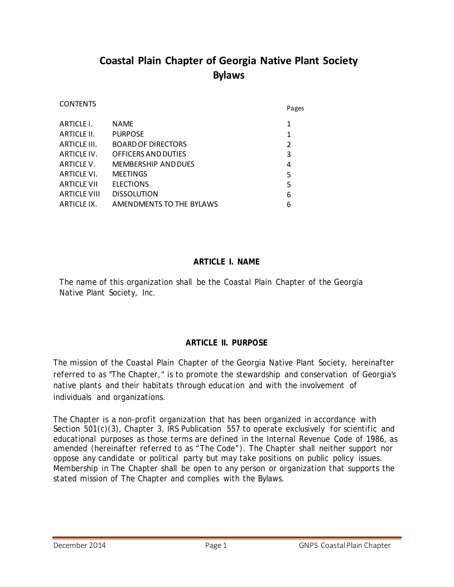# **Coastal Plain Chapter of Georgia Native Plant Society Bylaws**

| <b>CONTENTS</b>     |                            |                | Pages |
|---------------------|----------------------------|----------------|-------|
| ARTICLE I.          | <b>NAME</b>                | 1              |       |
| ARTICLE II.         | <b>PURPOSE</b>             | $\mathbf{1}$   |       |
| ARTICLE III.        | <b>BOARD OF DIRECTORS</b>  | $\overline{2}$ |       |
| ARTICLE IV.         | OFFICERS AND DUTIES        | 3              |       |
| ARTICLE V.          | <b>MEMBERSHIP AND DUES</b> | 4              |       |
| ARTICLE VI.         | <b>MEETINGS</b>            | 5              |       |
| <b>ARTICLE VII</b>  | <b>ELECTIONS</b>           | 5              |       |
| <b>ARTICLE VIII</b> | <b>DISSOLUTION</b>         | 6              |       |
| ARTICLE IX.         | AMENDMENTS TO THE BYLAWS   | 6              |       |
|                     |                            |                |       |

### **ARTICLE I. NAME**

The name of this organization shall be the Coastal Plain Chapter of the Georgia Native Plant Society, Inc.

## **ARTICLE II. PURPOSE**

The mission of the Coastal Plain Chapter of the Georgia Native Plant Society, hereinafter referred to as "The Chapter," is to promote the stewardship and conservation of Georgia's native plants and their habitats through education and with the involvement of individuals and organizations.

The Chapter is a non-profit organization that has been organized in accordance with Section 501(c)(3), Chapter 3, IRS Publication 557 to operate exclusively for scientific and educational purposes as those terms are defined in the Internal Revenue Code of 1986, as amended (hereinafter referred to as "The Code"). The Chapter shall neither support nor oppose any candidate or political party but may take positions on public policy issues. Membership in The Chapter shall be open to any person or organization that supports the stated mission of The Chapter and complies with the Bylaws.

CONTENTS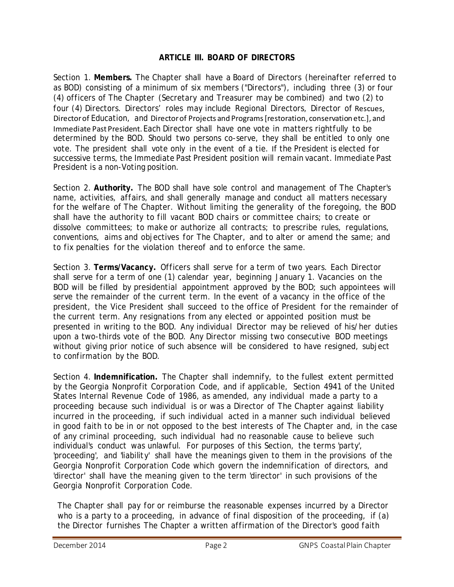### **ARTICLE III. BOARD OF DIRECTORS**

Section 1. **Members.** The Chapter shall have a Board of Directors (hereinafter referred to as BOD) consisting of a minimum of six members ("Directors"), including three (3) or four (4) officers of The Chapter (Secretary and Treasurer may be combined) and two (2) to four (4) Directors. Directors' roles may include Regional Directors, Director of Rescues, Directorof Education, and Directorof Projects and Programs [restoration, conservation etc.], and Immediate Past President. Each Director shall have one vote in matters rightfully to be determined by the BOD. Should two persons co-serve, they shall be entitled to only one vote. The president shall vote only in the event of a tie. If the President is elected for successive terms, the Immediate Past President position will remain vacant. Immediate Past President is a non-Voting position.

Section 2. **Authority.** The BOD shall have sole control and management of The Chapter's name, activities, affairs, and shall generally manage and conduct all matters necessary for the welfare of The Chapter. Without limiting the generality of the foregoing, the BOD shall have the authority to fill vacant BOD chairs or committee chairs; to create or dissolve committees; to make or authorize all contracts; to prescribe rules, regulations, conventions, aims and objectives for The Chapter, and to alter or amend the same; and to fix penalties for the violation thereof and to enforce the same.

Section 3. **Terms/Vacancy.** Officers shall serve for a term of two years. Each Director shall serve for a term of one (1) calendar year, beginning January 1. Vacancies on the BOD will be filled by presidential appointment approved by the BOD; such appointees will serve the remainder of the current term. In the event of a vacancy in the office of the president, the Vice President shall succeed to the office of President for the remainder of the current term. Any resignations from any elected or appointed position must be presented in writing to the BOD. Any individual Director may be relieved of his/her duties upon a two-thirds vote of the BOD. Any Director missing two consecutive BOD meetings without giving prior notice of such absence will be considered to have resigned, subject to confirmation by the BOD.

Section 4. **Indemnification.** The Chapter shall indemnify, to the fullest extent permitted by the Georgia Nonprofit Corporation Code, and if applicable, Section 4941 of the United States Internal Revenue Code of 1986, as amended, any individual made a party to a proceeding because such individual is or was a Director of The Chapter against liability incurred in the proceeding, if such individual acted in a manner such individual believed in good faith to be in or not opposed to the best interests of The Chapter and, in the case of any criminal proceeding, such individual had no reasonable cause to believe such individual's conduct was unlawful. For purposes of this Section, the terms 'party', 'proceeding', and 'liability' shall have the meanings given to them in the provisions of the Georgia Nonprofit Corporation Code which govern the indemnification of directors, and 'director' shall have the meaning given to the term 'director' in such provisions of the Georgia Nonprofit Corporation Code.

The Chapter shall pay for or reimburse the reasonable expenses incurred by a Director who is a party to a proceeding, in advance of final disposition of the proceeding, if (a) the Director furnishes The Chapter a written affirmation of the Director's good faith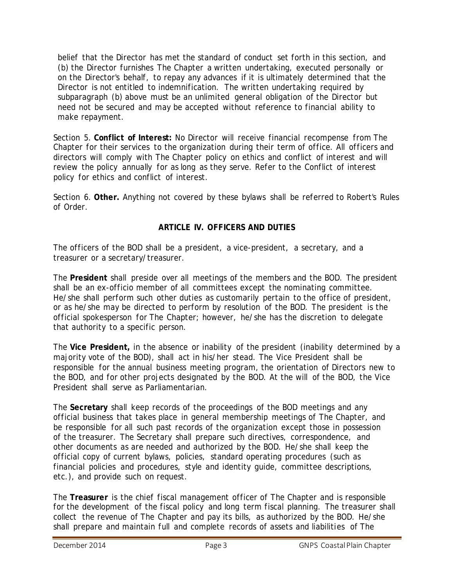belief that the Director has met the standard of conduct set forth in this section, and (b) the Director furnishes The Chapter a written undertaking, executed personally or on the Director's behalf, to repay any advances if it is ultimately determined that the Director is not entitled to indemnification. The written undertaking required by subparagraph (b) above must be an unlimited general obligation of the Director but need not be secured and may be accepted without reference to financial ability to make repayment.

Section 5. **Conflict of Interest:** No Director will receive financial recompense from The Chapter for their services to the organization during their term of office. All officers and directors will comply with The Chapter policy on ethics and conflict of interest and will review the policy annually for as long as they serve. Refer to the Conflict of interest policy for ethics and conflict of interest.

Section 6. **Other.** Anything not covered by these bylaws shall be referred to Robert's Rules of Order.

### **ARTICLE IV. OFFICERS AND DUTIES**

The officers of the BOD shall be a president, a vice-president, a secretary, and a treasurer or a secretary/treasurer.

The **President** shall preside over all meetings of the members and the BOD. The president shall be an ex-officio member of all committees except the nominating committee. He/she shall perform such other duties as customarily pertain to the office of president, or as he/she may be directed to perform by resolution of the BOD. The president is the official spokesperson for The Chapter; however, he/she has the discretion to delegate that authority to a specific person.

The **Vice President,** in the absence or inability of the president (inability determined by a majority vote of the BOD), shall act in his/her stead. The Vice President shall be responsible for the annual business meeting program, the orientation of Directors new to the BOD, and for other projects designated by the BOD. At the will of the BOD, the Vice President shall serve as Parliamentarian.

The **Secretary** shall keep records of the proceedings of the BOD meetings and any official business that takes place in general membership meetings of The Chapter, and be responsible for all such past records of the organization except those in possession of the treasurer. The Secretary shall prepare such directives, correspondence, and other documents as are needed and authorized by the BOD. He/she shall keep the official copy of current bylaws, policies, standard operating procedures (such as financial policies and procedures, style and identity guide, committee descriptions, etc.), and provide such on request.

The **Treasurer** is the chief fiscal management officer of The Chapter and is responsible for the development of the fiscal policy and long term fiscal planning. The treasurer shall collect the revenue of The Chapter and pay its bills, as authorized by the BOD. He/she shall prepare and maintain full and complete records of assets and liabilities of The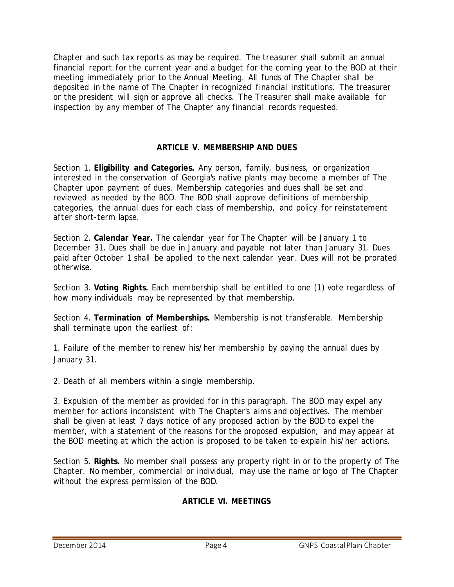Chapter and such tax reports as may be required. The treasurer shall submit an annual financial report for the current year and a budget for the coming year to the BOD at their meeting immediately prior to the Annual Meeting. All funds of The Chapter shall be deposited in the name of The Chapter in recognized financial institutions. The treasurer or the president will sign or approve all checks. The Treasurer shall make available for inspection by any member of The Chapter any financial records requested.

### **ARTICLE V. MEMBERSHIP AND DUES**

Section 1. **Eligibility and Categories.** Any person, family, business, or organization interested in the conservation of Georgia's native plants may become a member of The Chapter upon payment of dues. Membership categories and dues shall be set and reviewed as needed by the BOD. The BOD shall approve definitions of membership categories, the annual dues for each class of membership, and policy for reinstatement after short-term lapse.

Section 2. **Calendar Year.** The calendar year for The Chapter will be January 1 to December 31. Dues shall be due in January and payable not later than January 31. Dues paid after October 1 shall be applied to the next calendar year. Dues will not be prorated otherwise.

Section 3. **Voting Rights.** Each membership shall be entitled to one (1) vote regardless of how many individuals may be represented by that membership.

Section 4. **Termination of Memberships.** Membership is not transferable. Membership shall terminate upon the earliest of:

1. Failure of the member to renew his/her membership by paying the annual dues by January 31.

2. Death of all members within a single membership.

3. Expulsion of the member as provided for in this paragraph. The BOD may expel any member for actions inconsistent with The Chapter's aims and objectives. The member shall be given at least 7 days notice of any proposed action by the BOD to expel the member, with a statement of the reasons for the proposed expulsion, and may appear at the BOD meeting at which the action is proposed to be taken to explain his/her actions.

Section 5. **Rights.** No member shall possess any property right in or to the property of The Chapter. No member, commercial or individual, may use the name or logo of The Chapter without the express permission of the BOD.

## **ARTICLE VI. MEETINGS**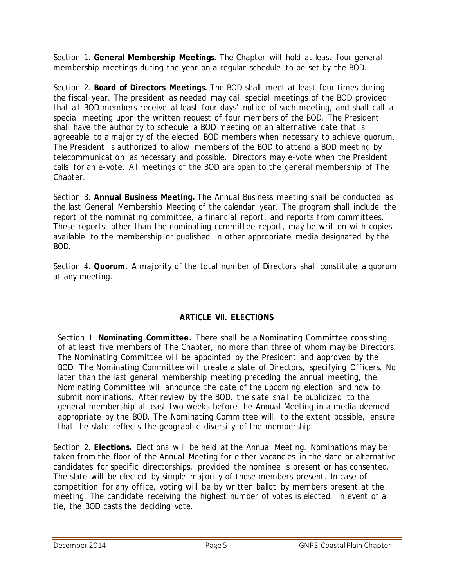Section 1. **General Membership Meetings.** The Chapter will hold at least four general membership meetings during the year on a regular schedule to be set by the BOD.

Section 2. **Board of Directors Meetings.** The BOD shall meet at least four times during the fiscal year. The president as needed may call special meetings of the BOD provided that all BOD members receive at least four days' notice of such meeting, and shall call a special meeting upon the written request of four members of the BOD. The President shall have the authority to schedule a BOD meeting on an alternative date that is agreeable to a majority of the elected BOD members when necessary to achieve quorum. The President is authorized to allow members of the BOD to attend a BOD meeting by telecommunication as necessary and possible. Directors may e-vote when the President calls for an e-vote. All meetings of the BOD are open to the general membership of The Chapter.

Section 3. **Annual Business Meeting.** The Annual Business meeting shall be conducted as the last General Membership Meeting of the calendar year. The program shall include the report of the nominating committee, a financial report, and reports from committees. These reports, other than the nominating committee report, may be written with copies available to the membership or published in other appropriate media designated by the BOD.

Section 4. **Quorum.** A majority of the total number of Directors shall constitute a quorum at any meeting.

# **ARTICLE VII. ELECTIONS**

Section 1. **Nominating Committee.** There shall be a Nominating Committee consisting of at least five members of The Chapter, no more than three of whom may be Directors. The Nominating Committee will be appointed by the President and approved by the BOD. The Nominating Committee will create a slate of Directors, specifying Officers. No later than the last general membership meeting preceding the annual meeting, the Nominating Committee will announce the date of the upcoming election and how to submit nominations. After review by the BOD, the slate shall be publicized to the general membership at least two weeks before the Annual Meeting in a media deemed appropriate by the BOD. The Nominating Committee will, to the extent possible, ensure that the slate reflects the geographic diversity of the membership.

Section 2. **Elections.** Elections will be held at the Annual Meeting. Nominations may be taken from the floor of the Annual Meeting for either vacancies in the slate or alternative candidates for specific directorships, provided the nominee is present or has consented. The slate will be elected by simple majority of those members present. In case of competition for any office, voting will be by written ballot by members present at the meeting. The candidate receiving the highest number of votes is elected. In event of a tie, the BOD casts the deciding vote.